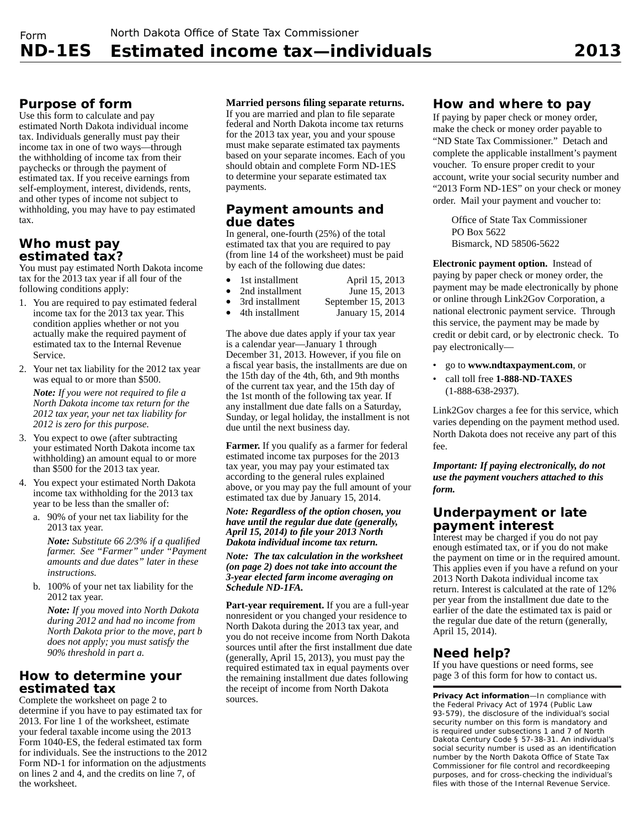# **Purpose of form**

Use this form to calculate and pay estimated North Dakota individual income tax. Individuals generally must pay their income tax in one of two ways—through the withholding of income tax from their paychecks or through the payment of estimated tax. If you receive earnings from self-employment, interest, dividends, rents, and other types of income not subject to withholding, you may have to pay estimated tax.

# **Who must pay estimated tax?**

You must pay estimated North Dakota income tax for the 2013 tax year if all four of the following conditions apply:

- 1. You are required to pay estimated federal income tax for the 2013 tax year. This condition applies whether or not you actually make the required payment of estimated tax to the Internal Revenue Service.
- 2. Your net tax liability for the 2012 tax year was equal to or more than \$500.

*Note:* If you were not required to file a *North Dakota income tax return for the 2012 tax year, your net tax liability for 2012 is zero for this purpose.*

- 3. You expect to owe (after subtracting your estimated North Dakota income tax withholding) an amount equal to or more than \$500 for the 2013 tax year.
- 4. You expect your estimated North Dakota income tax withholding for the 2013 tax year to be less than the smaller of:
	- a. 90% of your net tax liability for the 2013 tax year.

*Note:* Substitute 66 2/3% if a qualified *farmer. See "Farmer" under "Payment amounts and due dates" later in these instructions.*

b. 100% of your net tax liability for the 2012 tax year.

*Note: If you moved into North Dakota during 2012 and had no income from North Dakota prior to the move, part b does not apply; you must satisfy the 90% threshold in part a.*

# **How to determine your estimated tax**

Complete the worksheet on page 2 to determine if you have to pay estimated tax for 2013. For line 1 of the worksheet, estimate your federal taxable income using the 2013 Form 1040-ES, the federal estimated tax form for individuals. See the instructions to the 2012 Form ND-1 for information on the adjustments on lines 2 and 4, and the credits on line 7, of the worksheet.

**Married persons fi ling separate returns.** 

If you are married and plan to file separate federal and North Dakota income tax returns for the 2013 tax year, you and your spouse must make separate estimated tax payments based on your separate incomes. Each of you should obtain and complete Form ND-1ES to determine your separate estimated tax payments.

#### **Payment amounts and due dates**

In general, one-fourth (25%) of the total estimated tax that you are required to pay (from line 14 of the worksheet) must be paid by each of the following due dates:

- 
- 1st installment  $\bullet$  2nd installment  $\bullet$  15, 2013
	- 2nd installment June 15, 2013<br>
	3rd installment September 15, 2013
- 91 3rd installment<br>4th installment<br>15, 2014<br>15, 2014 January 15, 2014

The above due dates apply if your tax year is a calendar year—January 1 through December 31, 2013. However, if you file on a fiscal year basis, the installments are due on the 15th day of the 4th, 6th, and 9th months of the current tax year, and the 15th day of the 1st month of the following tax year. If any installment due date falls on a Saturday, Sunday, or legal holiday, the installment is not due until the next business day.

**Farmer.** If you qualify as a farmer for federal estimated income tax purposes for the 2013 tax year, you may pay your estimated tax according to the general rules explained above, or you may pay the full amount of your estimated tax due by January 15, 2014.

*Note: Regardless of the option chosen, you have until the regular due date (generally, April 15, 2014) to fi le your 2013 North Dakota individual income tax return.*

*Note: The tax calculation in the worksheet (on page 2) does not take into account the 3 -year elected farm income averaging on Schedule ND-1FA.*

**Part-year requirement.** If you are a full-year nonresident or you changed your residence to North Dakota during the 2013 tax year, and you do not receive income from North Dakota sources until after the first installment due date (generally, April 15, 2013), you must pay the required estimated tax in equal payments over the remaining installment due dates following the receipt of income from North Dakota sources.

# **How and where to pay**

If paying by paper check or money order, make the check or money order payable to "ND State Tax Commissioner." Detach and complete the applicable installment's payment voucher. To ensure proper credit to your account, write your social security number and "2013 Form ND-1ES" on your check or money order. Mail your payment and voucher to:

Office of State Tax Commissioner PO Box 5622 Bismarck, ND 58506-5622

**Electronic payment option.** Instead of paying by paper check or money order, the payment may be made electronically by phone or online through Link2Gov Corporation, a national electronic payment service. Through this service, the payment may be made by credit or debit card, or by electronic check. To pay electronically—

- go to **www.ndtaxpayment.com**, or
- call toll free **1-888-ND-TAXES** (1-888-638-2937).

Link2Gov charges a fee for this service, which varies depending on the payment method used. North Dakota does not receive any part of this fee.

*Important: If paying electronically, do not use the payment vouchers attached to this form.*

# **Underpayment or late payment interest**

Interest may be charged if you do not pay enough estimated tax, or if you do not make the payment on time or in the required amount. This applies even if you have a refund on your 2013 North Dakota individual income tax return. Interest is calculated at the rate of 12% per year from the installment due date to the earlier of the date the estimated tax is paid or the regular due date of the return (generally, April 15, 2014).

# **Need help?**

If you have questions or need forms, see page 3 of this form for how to contact us.

**Privacy Act information**—In compliance with the Federal Privacy Act of 1974 (Public Law 93-579), the disclosure of the individual's social security number on this form is mandatory and is required under subsections 1 and 7 of North Dakota Century Code § 57-38-31. An individual's social security number is used as an identification number by the North Dakota Office of State Tax Commissioner for file control and recordkeeping purposes, and for cross-checking the individual's files with those of the Internal Revenue Service.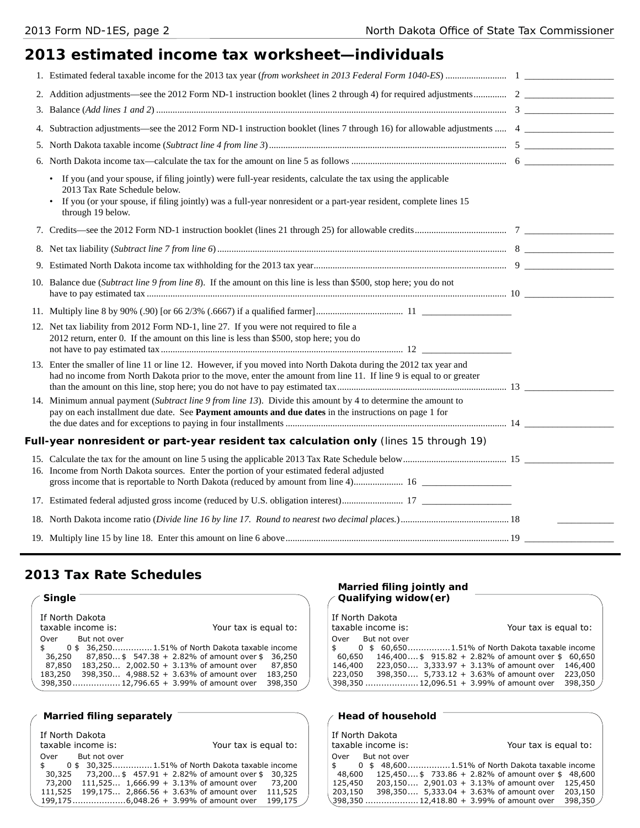# **2013 estimated income tax worksheet—individuals**

| 4. |                                                                                                                                                                                                                                                                                                      |  |
|----|------------------------------------------------------------------------------------------------------------------------------------------------------------------------------------------------------------------------------------------------------------------------------------------------------|--|
|    |                                                                                                                                                                                                                                                                                                      |  |
| 6. |                                                                                                                                                                                                                                                                                                      |  |
|    | If you (and your spouse, if filing jointly) were full-year residents, calculate the tax using the applicable<br>$\bullet$<br>2013 Tax Rate Schedule below.<br>If you (or your spouse, if filing jointly) was a full-year nonresident or a part-year resident, complete lines 15<br>through 19 below. |  |
|    |                                                                                                                                                                                                                                                                                                      |  |
|    |                                                                                                                                                                                                                                                                                                      |  |
|    |                                                                                                                                                                                                                                                                                                      |  |
|    | 10. Balance due (Subtract line 9 from line 8). If the amount on this line is less than \$500, stop here; you do not                                                                                                                                                                                  |  |
|    |                                                                                                                                                                                                                                                                                                      |  |
|    | 12. Net tax liability from 2012 Form ND-1, line 27. If you were not required to file a<br>2012 return, enter 0. If the amount on this line is less than \$500, stop here; you do                                                                                                                     |  |
|    | 13. Enter the smaller of line 11 or line 12. However, if you moved into North Dakota during the 2012 tax year and<br>had no income from North Dakota prior to the move, enter the amount from line 11. If line 9 is equal to or greater                                                              |  |
|    | 14. Minimum annual payment (Subtract line 9 from line 13). Divide this amount by 4 to determine the amount to<br>pay on each installment due date. See Payment amounts and due dates in the instructions on page 1 for                                                                               |  |
|    | Full-year nonresident or part-year resident tax calculation only (lines 15 through 19)                                                                                                                                                                                                               |  |
|    | 16. Income from North Dakota sources. Enter the portion of your estimated federal adjusted                                                                                                                                                                                                           |  |
|    |                                                                                                                                                                                                                                                                                                      |  |
|    |                                                                                                                                                                                                                                                                                                      |  |
|    |                                                                                                                                                                                                                                                                                                      |  |
|    |                                                                                                                                                                                                                                                                                                      |  |

# **2013 Tax Rate Schedules**

| <b>Single</b>                                       | Qualifying widow (er)                            |  |  |  |
|-----------------------------------------------------|--------------------------------------------------|--|--|--|
| If North Dakota                                     | If North Dakota                                  |  |  |  |
| taxable income is:                                  | taxable income is:                               |  |  |  |
| Your tax is equal to:                               | Your tax is equal to:                            |  |  |  |
| But not over                                        | But not over                                     |  |  |  |
| Over                                                | Over                                             |  |  |  |
| 0 \$ 36.250 1.51% of North Dakota taxable income    | 0 \$ 60,6501.51% of North Dakota taxable income  |  |  |  |
| $87,850$ \$ 547.38 + 2.82% of amount over \$ 36,250 | 146,400 \$915.82 + 2.82% of amount over \$60,650 |  |  |  |
| 36,250                                              | 60,650                                           |  |  |  |
| 183,250 2,002.50 + 3.13% of amount over             | 223,050 3,333.97 + 3.13% of amount over          |  |  |  |
| 87,850                                              | 146,400                                          |  |  |  |
| 87,850                                              | 146,400                                          |  |  |  |
| 398,350 4,988.52 + 3.63% of amount over             | 398,350 5,733.12 + 3.63% of amount over          |  |  |  |
| 183,250                                             | 223,050                                          |  |  |  |
| 183,250                                             | 223,050                                          |  |  |  |
| 398,350 12,796.65 + 3.99% of amount over            | 398,350                                          |  |  |  |
| 398,350                                             | 398,350  12,096.51 + 3.99% of amount over        |  |  |  |

#### Married filing separately **CONSCRIPTION And SET Algebra** / Head of household

| If North Dakota<br>taxable income is:           | Your tax is equal to:                           |         | If North Dakota | taxable income is: | Your tax is equal to:                            |         |
|-------------------------------------------------|-------------------------------------------------|---------|-----------------|--------------------|--------------------------------------------------|---------|
| Over<br>But not over                            |                                                 |         | Over            | But not over       |                                                  |         |
| 0 \$ 30,3251.51% of North Dakota taxable income |                                                 |         |                 |                    | 0 \$48,6001.51% of North Dakota taxable income   |         |
| 30,325                                          | 73,200 \$457.91 + 2.82% of amount over \$30,325 |         | 48,600          |                    | 125,450 \$733.86 + 2.82% of amount over \$48,600 |         |
| 73,200                                          | 111,525 $1,666.99 + 3.13\%$ of amount over      | 73,200  | 125,450         |                    | $203,150$ 2,901.03 + 3.13% of amount over        | 125,450 |
| 111,525 199,175 2,866.56 + 3.63% of amount over |                                                 | 111,525 | 203,150         |                    | 398,350 5,333.04 + 3.63% of amount over          | 203,150 |
| 199,1756,048.26 + 3.99% of amount over          |                                                 | 199,175 |                 |                    | \398,350  12,418.80 + 3.99% of amount over       | 398,350 |

# **Married fi ling jointly and**

| If North Dakota<br>taxable income is: | Your tax is equal to:                                |
|---------------------------------------|------------------------------------------------------|
| Over But not over                     |                                                      |
|                                       | \$ 0 \$ 60,6501.51% of North Dakota taxable income   |
| 60,650                                | 146,400 \$915.82 + 2.82% of amount over \$60,650     |
| 146,400                               | 223,050 3,333.97 + 3.13% of amount over<br>146,400   |
| 223,050                               | 223,050<br>398,350 5,733.12 + 3.63% of amount over   |
|                                       | 398,350<br>398,350  12,096.51 + 3.99% of amount over |

| If North Dakota<br>taxable income is: |                                            | Your tax is equal to:                            |         |
|---------------------------------------|--------------------------------------------|--------------------------------------------------|---------|
| Over But not over                     |                                            |                                                  |         |
| $\mathsf{s}$                          |                                            | 0 \$48,6001.51% of North Dakota taxable income   |         |
| 48,600                                |                                            | 125,450 \$733.86 + 2.82% of amount over \$48,600 |         |
| 125,450                               |                                            | $203,150$ 2,901.03 + 3.13% of amount over        | 125,450 |
| 203,150                               | 398,350 5,333.04 + 3.63% of amount over    |                                                  | 203,150 |
|                                       | .398.350  12.418.80 + 3.99% of amount over |                                                  | 398.350 |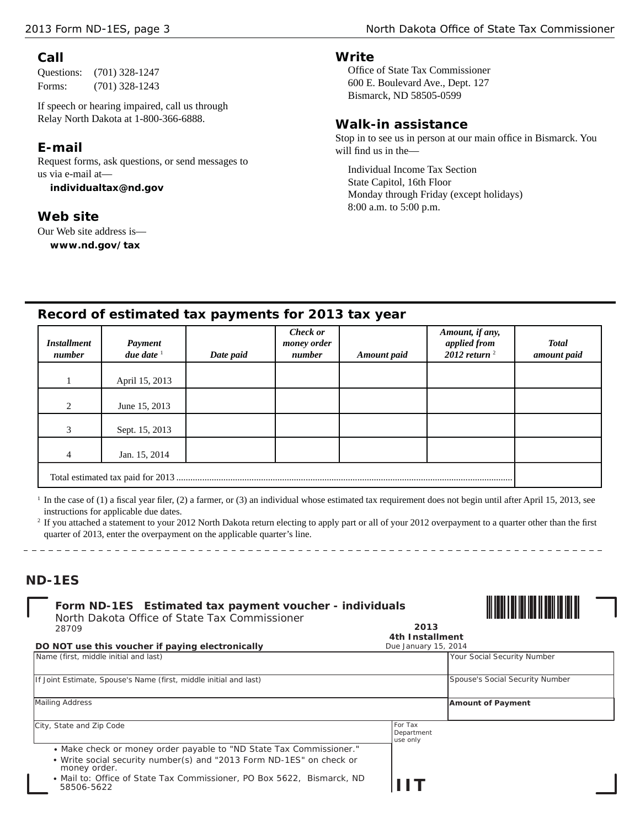#### **Call**

Questions: (701) 328-1247 Forms: (701) 328-1243

If speech or hearing impaired, call us through Relay North Dakota at 1-800-366-6888.

### **E-mail**

Request forms, ask questions, or send messages to us via e -mail at—

**individualtax@nd.gov**

#### **Web site**

Our Web site address is **www.nd.gov/tax** 

#### **Write**

Office of State Tax Commissioner 600 E. Boulevard Ave., Dept. 127 Bismarck, ND 58505-0599

#### **Walk-in assistance**

Stop in to see us in person at our main office in Bismarck. You will find us in the-

Individual Income Tax Section State Capitol, 16th Floor Monday through Friday (except holidays) 8:00 a.m. to 5:00 p.m.

Due January 15, 2014

# **Record of estimated tax payments for 2013 tax year**

| <b>Installment</b><br>number | Payment<br>due date $1$ | Date paid | <b>Check or</b><br>money order<br>number | <b>Amount</b> paid | Amount, if any,<br>applied from<br>2012 return $^2$ | <b>Total</b><br>amount paid |
|------------------------------|-------------------------|-----------|------------------------------------------|--------------------|-----------------------------------------------------|-----------------------------|
|                              | April 15, 2013          |           |                                          |                    |                                                     |                             |
| 2                            | June 15, 2013           |           |                                          |                    |                                                     |                             |
| 3                            | Sept. 15, 2013          |           |                                          |                    |                                                     |                             |
|                              | Jan. 15, 2014           |           |                                          |                    |                                                     |                             |
|                              |                         |           |                                          |                    |                                                     |                             |

In the case of (1) a fiscal year filer, (2) a farmer, or (3) an individual whose estimated tax requirement does not begin until after April 15, 2013, see instructions for applicable due dates.

| <sup>2</sup> If you attached a statement to your 2012 North Dakota return electing to apply part or all of your 2012 overpayment to a quarter other than the first |  |
|--------------------------------------------------------------------------------------------------------------------------------------------------------------------|--|
| quarter of 2013, enter the overpayment on the applicable quarter's line.                                                                                           |  |

#### **ND-1ES**

|                                               | Form ND-1ES Estimated tax payment voucher - individuals |
|-----------------------------------------------|---------------------------------------------------------|
| North Dakota Office of State Tax Commissioner | 2013                                                    |
| 28709                                         | 4th Installment                                         |



*DO NOT use this voucher if paying electronically*

\_\_\_\_\_\_\_\_\_\_\_\_\_\_\_\_\_\_\_\_\_\_\_\_\_\_\_\_\_

| Name (first, middle initial and last)                                                                                                                                                                                                               |                                   | Your Social Security Number     |
|-----------------------------------------------------------------------------------------------------------------------------------------------------------------------------------------------------------------------------------------------------|-----------------------------------|---------------------------------|
| If Joint Estimate, Spouse's Name (first, middle initial and last)                                                                                                                                                                                   |                                   | Spouse's Social Security Number |
| Mailing Address                                                                                                                                                                                                                                     |                                   | <b>Amount of Payment</b>        |
| City, State and Zip Code                                                                                                                                                                                                                            | For Tax<br>Department<br>use only |                                 |
| • Make check or money order payable to "ND State Tax Commissioner."<br>• Write social security number(s) and "2013 Form ND-1ES" on check or<br>money order.<br>• Mail to: Office of State Tax Commissioner, PO Box 5622, Bismarck, ND<br>58506-5622 |                                   |                                 |